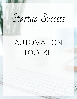# Startup Success

# AUTOMATION TOOLKIT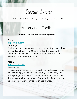Startup Success

### Automation Toolkit

### **Automate Your Project Management**

#### **Trello**

### <https://trello.com>

*Starts at free.*

Trello allows you to organize projects by creating boards, lists, and cards on those lists. Open a card and you can add comments, upload file attachments, create checklists, add labels and due dates, and more.

#### **Asana**

### <https://asana.com/>

#### *Starts at free.*

An easy way to manage team projects and tasks. Asana gives you everything you need to stay in sync, hit deadlines, and reach your goals. Use the "Timeline" feature to create a plan that shows you how the pieces of your project fit together, and helps you keep work on track as things change.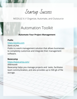Startup Success

### Automation Toolkit

### **Automate Your Project Management**

#### **Podio**

<https://podio.com>

*Starts at free.* Podio is a work management solution that allows businesses to completely customize and integrate their management software.

### **Basecamp**

### <https://basecamp.com/>

*\$99/month*

Basecamp helps you manage projects and tasks, facilitates team communication, and also provides up to 500 gb of file storage.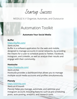## Startup Success

### MODULE 6 // Organize, Automate, and Outsource

### Automation Toolkit

### **Automate Your Social Media**

### **Buffer**

### <https://buffer.com/>

*Starts at free.*

Buffer is a software application for the web and mobile, designed to manage accounts in social networks, by providing the means for a user to schedule posts to Twitter, Facebook, Instagram, and Linkedin, as well as analyze their results and engage with their community.

### **Hootsuite**

### <https://hootsuite.com/>

*Starts at free.* Hootsuite provides a dashboard that allows you to manage multiple social media accounts and profiles simultaneously.

### **Planoly**

### <https://planoly.com>

### *Starts at \$7/month*

Planoly helps you manage, automate, and optimize your Instagram account, including features such as pre-scheduling posts, auto-posting, analytics, and research tools.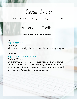## Startup Success

### MODULE 6 // Organize, Automate, and Outsource

### Automation Toolkit

### **Automate Your Social Media**

#### **Later**

<https://later.com>

*Starts at free.* Allows you to visually plan and schedule your Instagram posts.

### **Tailwind**

<https://www.tailwindapp.com/>

### *Starts at \$9.99/month*

My preferred tool for Pinterest automation. Tailwind allows you to schedule pins, discover content, monitor your Pinterest account, join "tribes" of bloggers, post on group boards, and monitor your Pinterest account and results.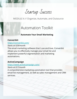Startup Success

### Automation Toolkit

### **Automate Your Email Marketing**

### **Convertkit**

### <https://convertkit.com/>

*Starts at \$29/month*

The email marketing software that I use and love, Convertkit allows you to effectively manage your email list and implement powerful segmentation and marketing automations.

### **ActiveCampaign**

### <https://www.activecampaign.com/>

*Starts at \$17/month*

A comprehensive marketing automation tool that provides email list management, as well as sales management and CRM services.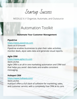Startup Success

### Automation Toolkit

### **Automate Your Customer Management**

### **Pipedrive**

<https://www.pipedrive.com>

*Starts at \$15/month* Pipedrive enables businesses to plan their sales activities, monitor deals, alyze sales data and generate visual reports.

### **Agile CRM**

### <https://www.agilecrm.com>

*Starts at free.* Agile CRM is an all-in one marketing automation and CRM tool that helps you avoid data leaks and enable consistent messaging.

### **Hubspot CRM**

### <https://www.hubspot.com/>

*Starts at free.* HubSpot offers a full stack of software for marketing, sales, and customer service, with a completely free CRM at its core.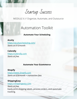Startup Success

### Automation Toolkit

### **Automate Your Scheduling**

**Acuity**

<https://acuityscheduling.com/> *Starts at \$15/month*

**Calendly** <https://calendly.com> *Starts at free.*

### **Automate Your Ecommerce**

### **Shopify**

<https://www.shopify.com> *Starts at \$29/month + transaction fees*

**ShippingEasy** <https://shippingeasy.com> *Starts at free.* Easily print shipping labels, process orders, and automate tracking.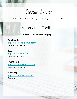Startup Success

### Automation Toolkit

### **Automate Your Bookkeeping**

**Quickbooks** <https://quickbooks.intuit.com/> *Starts at \$20/month*

#### **Xero**

<https://www.xero.com/> *Starts at \$9/month*

#### **Freshbooks**

<https://www.freshbooks.com> *Starts at \$15/month*

**Wave Apps** <https://www.waveapps.com/> *Starts at free.*